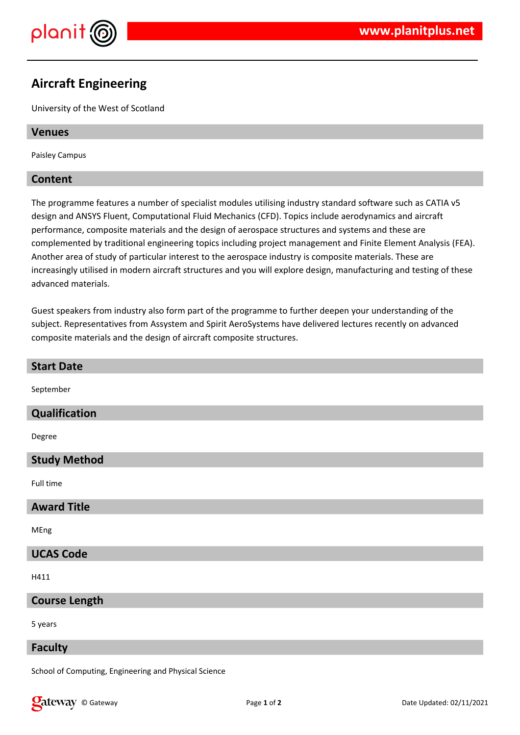

# **Aircraft Engineering**

University of the West of Scotland

## **Venues**

Paisley Campus

## **Content**

The programme features a number of specialist modules utilising industry standard software such as CATIA v5 design and ANSYS Fluent, Computational Fluid Mechanics (CFD). Topics include aerodynamics and aircraft performance, composite materials and the design of aerospace structures and systems and these are complemented by traditional engineering topics including project management and Finite Element Analysis (FEA). Another area of study of particular interest to the aerospace industry is composite materials. These are increasingly utilised in modern aircraft structures and you will explore design, manufacturing and testing of these advanced materials.

Guest speakers from industry also form part of the programme to further deepen your understanding of the subject. Representatives from Assystem and Spirit AeroSystems have delivered lectures recently on advanced composite materials and the design of aircraft composite structures.

| <b>Start Date</b>    |
|----------------------|
| September            |
| Qualification        |
| Degree               |
| <b>Study Method</b>  |
| Full time            |
| <b>Award Title</b>   |
| MEng                 |
| <b>UCAS Code</b>     |
| H411                 |
| <b>Course Length</b> |
| 5 years              |
| <b>Faculty</b>       |

School of Computing, Engineering and Physical Science